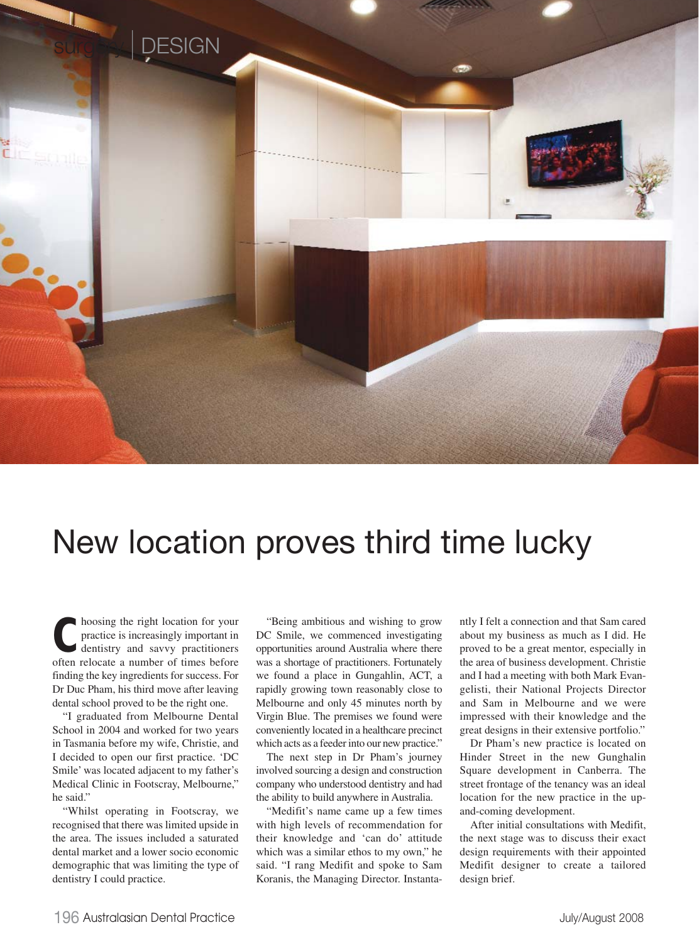

## New location proves third time lucky

**C**hoosing the right location for your practice is increasingly important in dentistry and savvy practitioners often relocate a number of times before finding the key ingredients for success. For Dr Duc Pham, his third move after leaving dental school proved to be the right one.

"I graduated from Melbourne Dental School in 2004 and worked for two years in Tasmania before my wife, Christie, and I decided to open our first practice. 'DC Smile' was located adjacent to my father's Medical Clinic in Footscray, Melbourne," he said."

"Whilst operating in Footscray, we recognised that there was limited upside in the area. The issues included a saturated dental market and a lower socio economic demographic that was limiting the type of dentistry I could practice.

"Being ambitious and wishing to grow DC Smile, we commenced investigating opportunities around Australia where there was a shortage of practitioners. Fortunately we found a place in Gungahlin, ACT, a rapidly growing town reasonably close to Melbourne and only 45 minutes north by Virgin Blue. The premises we found were conveniently located in a healthcare precinct which acts as a feeder into our new practice."

The next step in Dr Pham's journey involved sourcing a design and construction company who understood dentistry and had the ability to build anywhere in Australia.

"Medifit's name came up a few times with high levels of recommendation for their knowledge and 'can do' attitude which was a similar ethos to my own," he said. "I rang Medifit and spoke to Sam Koranis, the Managing Director. Instantantly I felt a connection and that Sam cared about my business as much as I did. He proved to be a great mentor, especially in the area of business development. Christie and I had a meeting with both Mark Evangelisti, their National Projects Director and Sam in Melbourne and we were impressed with their knowledge and the great designs in their extensive portfolio."

Dr Pham's new practice is located on Hinder Street in the new Gunghalin Square development in Canberra. The street frontage of the tenancy was an ideal location for the new practice in the upand-coming development.

After initial consultations with Medifit, the next stage was to discuss their exact design requirements with their appointed Medifit designer to create a tailored design brief.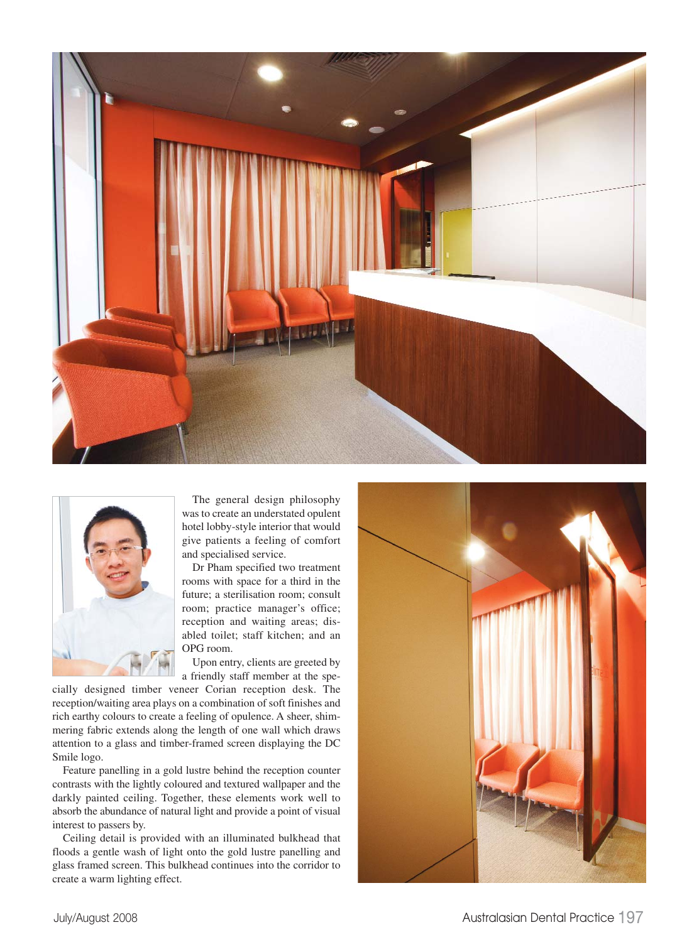



The general design philosophy was to create an understated opulent hotel lobby-style interior that would give patients a feeling of comfort and specialised service.

Dr Pham specified two treatment rooms with space for a third in the future; a sterilisation room; consult room; practice manager's office; reception and waiting areas; disabled toilet; staff kitchen; and an OPG room.

Upon entry, clients are greeted by a friendly staff member at the spe-

cially designed timber veneer Corian reception desk. The reception/waiting area plays on a combination of soft finishes and rich earthy colours to create a feeling of opulence. A sheer, shimmering fabric extends along the length of one wall which draws attention to a glass and timber-framed screen displaying the DC Smile logo.

Feature panelling in a gold lustre behind the reception counter contrasts with the lightly coloured and textured wallpaper and the darkly painted ceiling. Together, these elements work well to absorb the abundance of natural light and provide a point of visual interest to passers by.

Ceiling detail is provided with an illuminated bulkhead that floods a gentle wash of light onto the gold lustre panelling and glass framed screen. This bulkhead continues into the corridor to create a warm lighting effect.

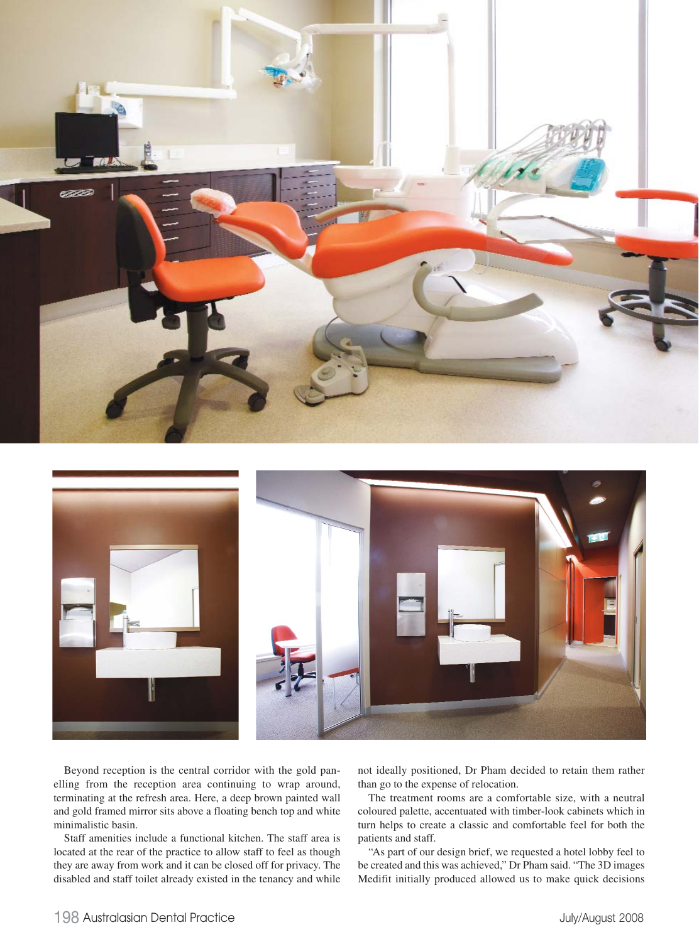



Beyond reception is the central corridor with the gold panelling from the reception area continuing to wrap around, terminating at the refresh area. Here, a deep brown painted wall and gold framed mirror sits above a floating bench top and white minimalistic basin.

Staff amenities include a functional kitchen. The staff area is located at the rear of the practice to allow staff to feel as though they are away from work and it can be closed off for privacy. The disabled and staff toilet already existed in the tenancy and while

not ideally positioned, Dr Pham decided to retain them rather than go to the expense of relocation.

The treatment rooms are a comfortable size, with a neutral coloured palette, accentuated with timber-look cabinets which in turn helps to create a classic and comfortable feel for both the patients and staff.

"As part of our design brief, we requested a hotel lobby feel to be created and this was achieved," Dr Pham said. "The 3D images Medifit initially produced allowed us to make quick decisions